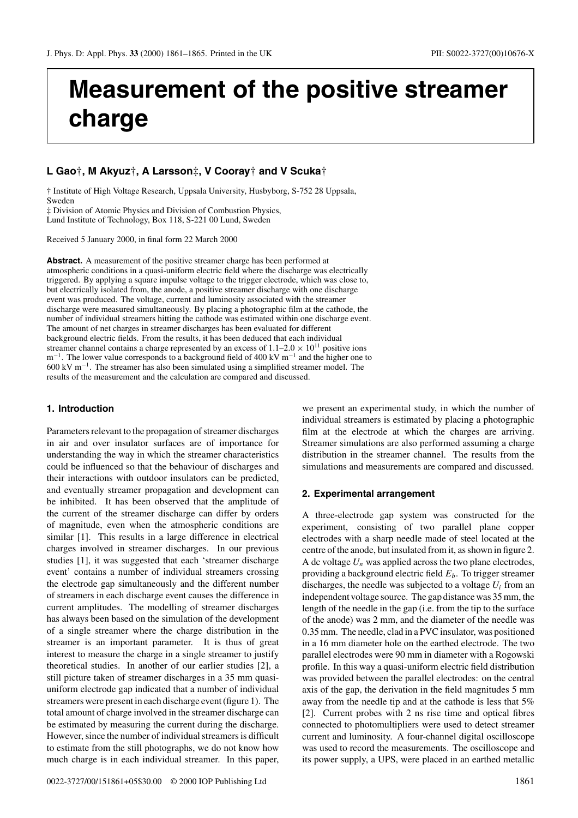# **Measurement of the positive streamer charge**

# **L Gao**†**, M Akyuz**†**, A Larsson**‡**, V Cooray**† **and V Scuka**†

† Institute of High Voltage Research, Uppsala University, Husbyborg, S-752 28 Uppsala, Sweden

‡ Division of Atomic Physics and Division of Combustion Physics, Lund Institute of Technology, Box 118, S-221 00 Lund, Sweden

Received 5 January 2000, in final form 22 March 2000

**Abstract.** A measurement of the positive streamer charge has been performed at atmospheric conditions in a quasi-uniform electric field where the discharge was electrically triggered. By applying a square impulse voltage to the trigger electrode, which was close to, but electrically isolated from, the anode, a positive streamer discharge with one discharge event was produced. The voltage, current and luminosity associated with the streamer discharge were measured simultaneously. By placing a photographic film at the cathode, the number of individual streamers hitting the cathode was estimated within one discharge event. The amount of net charges in streamer discharges has been evaluated for different background electric fields. From the results, it has been deduced that each individual streamer channel contains a charge represented by an excess of  $1.1-2.0 \times 10^{11}$  positive ions  $m^{-1}$ . The lower value corresponds to a background field of 400 kV m<sup>-1</sup> and the higher one to 600 kV m−1. The streamer has also been simulated using a simplified streamer model. The results of the measurement and the calculation are compared and discussed.

# **1. Introduction**

Parameters relevant to the propagation of streamer discharges in air and over insulator surfaces are of importance for understanding the way in which the streamer characteristics could be influenced so that the behaviour of discharges and their interactions with outdoor insulators can be predicted, and eventually streamer propagation and development can be inhibited. It has been observed that the amplitude of the current of the streamer discharge can differ by orders of magnitude, even when the atmospheric conditions are similar [1]. This results in a large difference in electrical charges involved in streamer discharges. In our previous studies [1], it was suggested that each 'streamer discharge event' contains a number of individual streamers crossing the electrode gap simultaneously and the different number of streamers in each discharge event causes the difference in current amplitudes. The modelling of streamer discharges has always been based on the simulation of the development of a single streamer where the charge distribution in the streamer is an important parameter. It is thus of great interest to measure the charge in a single streamer to justify theoretical studies. In another of our earlier studies [2], a still picture taken of streamer discharges in a 35 mm quasiuniform electrode gap indicated that a number of individual streamers were present in each discharge event (figure 1). The total amount of charge involved in the streamer discharge can be estimated by measuring the current during the discharge. However, since the number of individual streamers is difficult to estimate from the still photographs, we do not know how much charge is in each individual streamer. In this paper,

we present an experimental study, in which the number of individual streamers is estimated by placing a photographic film at the electrode at which the charges are arriving. Streamer simulations are also performed assuming a charge distribution in the streamer channel. The results from the simulations and measurements are compared and discussed.

#### **2. Experimental arrangement**

A three-electrode gap system was constructed for the experiment, consisting of two parallel plane copper electrodes with a sharp needle made of steel located at the centre of the anode, but insulated from it, as shown in figure 2. A dc voltage  $U_n$  was applied across the two plane electrodes, providing a background electric field  $E<sub>b</sub>$ . To trigger streamer discharges, the needle was subjected to a voltage  $U_i$  from an independent voltage source. The gap distance was 35 mm, the length of the needle in the gap (i.e. from the tip to the surface of the anode) was 2 mm, and the diameter of the needle was 0.35 mm. The needle, clad in a PVC insulator, was positioned in a 16 mm diameter hole on the earthed electrode. The two parallel electrodes were 90 mm in diameter with a Rogowski profile. In this way a quasi-uniform electric field distribution was provided between the parallel electrodes: on the central axis of the gap, the derivation in the field magnitudes 5 mm away from the needle tip and at the cathode is less that 5% [2]. Current probes with 2 ns rise time and optical fibres connected to photomultipliers were used to detect streamer current and luminosity. A four-channel digital oscilloscope was used to record the measurements. The oscilloscope and its power supply, a UPS, were placed in an earthed metallic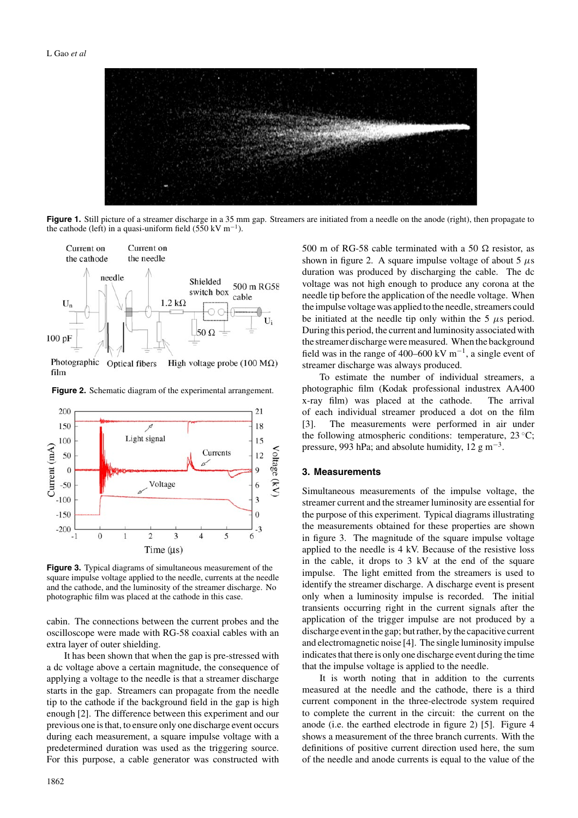

**Figure 1.** Still picture of a streamer discharge in a 35 mm gap. Streamers are initiated from a needle on the anode (right), then propagate to the cathode (left) in a quasi-uniform field (550 kV m<sup>-1</sup>).





**Figure 2.** Schematic diagram of the experimental arrangement.

**Figure 3.** Typical diagrams of simultaneous measurement of the square impulse voltage applied to the needle, currents at the needle and the cathode, and the luminosity of the streamer discharge. No photographic film was placed at the cathode in this case.

cabin. The connections between the current probes and the oscilloscope were made with RG-58 coaxial cables with an extra layer of outer shielding.

It has been shown that when the gap is pre-stressed with a dc voltage above a certain magnitude, the consequence of applying a voltage to the needle is that a streamer discharge starts in the gap. Streamers can propagate from the needle tip to the cathode if the background field in the gap is high enough [2]. The difference between this experiment and our previous one is that, to ensure only one discharge event occurs during each measurement, a square impulse voltage with a predetermined duration was used as the triggering source. For this purpose, a cable generator was constructed with 500 m of RG-58 cable terminated with a 50  $\Omega$  resistor, as shown in figure 2. A square impulse voltage of about 5  $\mu$ s duration was produced by discharging the cable. The dc voltage was not high enough to produce any corona at the needle tip before the application of the needle voltage. When the impulse voltage was applied to the needle, streamers could be initiated at the needle tip only within the 5  $\mu$ s period. During this period, the current and luminosity associated with the streamer discharge were measured. When the background field was in the range of 400–600 kV  $m^{-1}$ , a single event of streamer discharge was always produced.

To estimate the number of individual streamers, a photographic film (Kodak professional industrex AA400 x-ray film) was placed at the cathode. The arrival of each individual streamer produced a dot on the film [3]. The measurements were performed in air under the following atmospheric conditions: temperature,  $23^{\circ}$ C; pressure, 993 hPa; and absolute humidity, 12 g m<sup>-3</sup>.

### **3. Measurements**

Simultaneous measurements of the impulse voltage, the streamer current and the streamer luminosity are essential for the purpose of this experiment. Typical diagrams illustrating the measurements obtained for these properties are shown in figure 3. The magnitude of the square impulse voltage applied to the needle is 4 kV. Because of the resistive loss in the cable, it drops to 3 kV at the end of the square impulse. The light emitted from the streamers is used to identify the streamer discharge. A discharge event is present only when a luminosity impulse is recorded. The initial transients occurring right in the current signals after the application of the trigger impulse are not produced by a discharge event in the gap; but rather, by the capacitive current and electromagnetic noise [4]. The single luminosity impulse indicates that there is only one discharge event during the time that the impulse voltage is applied to the needle.

It is worth noting that in addition to the currents measured at the needle and the cathode, there is a third current component in the three-electrode system required to complete the current in the circuit: the current on the anode (i.e. the earthed electrode in figure 2) [5]. Figure 4 shows a measurement of the three branch currents. With the definitions of positive current direction used here, the sum of the needle and anode currents is equal to the value of the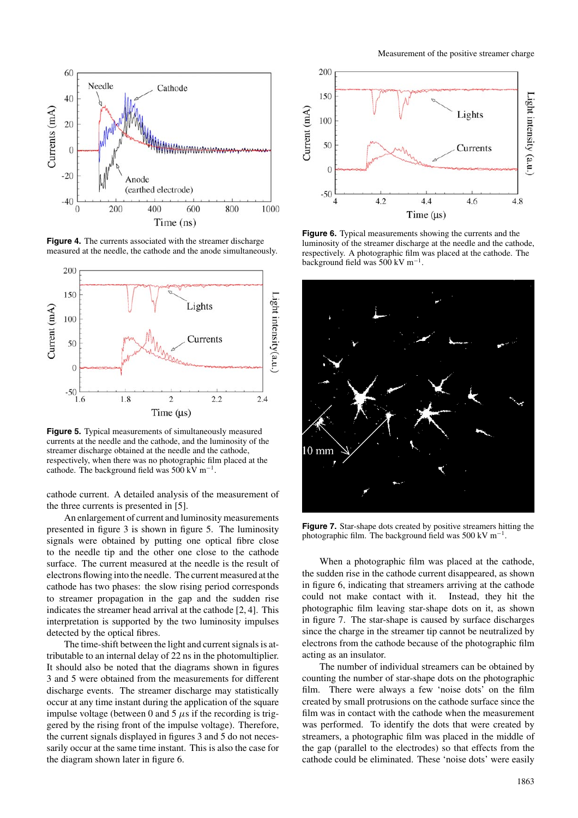

**Figure 4.** The currents associated with the streamer discharge measured at the needle, the cathode and the anode simultaneously.



**Figure 5.** Typical measurements of simultaneously measured currents at the needle and the cathode, and the luminosity of the streamer discharge obtained at the needle and the cathode, respectively, when there was no photographic film placed at the cathode. The background field was 500 kV m−1.

cathode current. A detailed analysis of the measurement of the three currents is presented in [5].

An enlargement of current and luminosity measurements presented in figure 3 is shown in figure 5. The luminosity signals were obtained by putting one optical fibre close to the needle tip and the other one close to the cathode surface. The current measured at the needle is the result of electrons flowing into the needle. The current measured at the cathode has two phases: the slow rising period corresponds to streamer propagation in the gap and the sudden rise indicates the streamer head arrival at the cathode [2, 4]. This interpretation is supported by the two luminosity impulses detected by the optical fibres.

The time-shift between the light and current signals is attributable to an internal delay of 22 ns in the photomultiplier. It should also be noted that the diagrams shown in figures 3 and 5 were obtained from the measurements for different discharge events. The streamer discharge may statistically occur at any time instant during the application of the square impulse voltage (between 0 and 5  $\mu$ s if the recording is triggered by the rising front of the impulse voltage). Therefore, the current signals displayed in figures 3 and 5 do not necessarily occur at the same time instant. This is also the case for the diagram shown later in figure 6.



**Figure 6.** Typical measurements showing the currents and the luminosity of the streamer discharge at the needle and the cathode, respectively. A photographic film was placed at the cathode. The background field was 500 kV m−1.



**Figure 7.** Star-shape dots created by positive streamers hitting the photographic film. The background field was 500 kV m<sup>-1</sup>.

When a photographic film was placed at the cathode, the sudden rise in the cathode current disappeared, as shown in figure 6, indicating that streamers arriving at the cathode could not make contact with it. Instead, they hit the photographic film leaving star-shape dots on it, as shown in figure 7. The star-shape is caused by surface discharges since the charge in the streamer tip cannot be neutralized by electrons from the cathode because of the photographic film acting as an insulator.

The number of individual streamers can be obtained by counting the number of star-shape dots on the photographic film. There were always a few 'noise dots' on the film created by small protrusions on the cathode surface since the film was in contact with the cathode when the measurement was performed. To identify the dots that were created by streamers, a photographic film was placed in the middle of the gap (parallel to the electrodes) so that effects from the cathode could be eliminated. These 'noise dots' were easily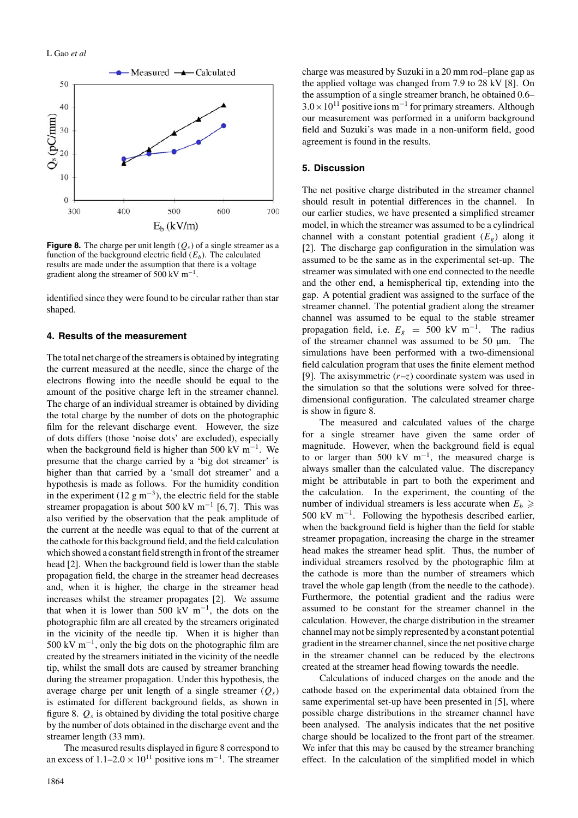

**Figure 8.** The charge per unit length  $(Q_s)$  of a single streamer as a function of the background electric field  $(E_b)$ . The calculated results are made under the assumption that there is a voltage gradient along the streamer of 500 kV m−1.

identified since they were found to be circular rather than star shaped.

#### **4. Results of the measurement**

The total net charge of the streamers is obtained by integrating the current measured at the needle, since the charge of the electrons flowing into the needle should be equal to the amount of the positive charge left in the streamer channel. The charge of an individual streamer is obtained by dividing the total charge by the number of dots on the photographic film for the relevant discharge event. However, the size of dots differs (those 'noise dots' are excluded), especially when the background field is higher than 500 kV m<sup>-1</sup>. We presume that the charge carried by a 'big dot streamer' is higher than that carried by a 'small dot streamer' and a hypothesis is made as follows. For the humidity condition in the experiment (12 g m<sup>-3</sup>), the electric field for the stable streamer propagation is about 500 kV m<sup>-1</sup> [6, 7]. This was also verified by the observation that the peak amplitude of the current at the needle was equal to that of the current at the cathode for this background field, and the field calculation which showed a constant field strength in front of the streamer head [2]. When the background field is lower than the stable propagation field, the charge in the streamer head decreases and, when it is higher, the charge in the streamer head increases whilst the streamer propagates [2]. We assume that when it is lower than 500 kV m<sup>-1</sup>, the dots on the photographic film are all created by the streamers originated in the vicinity of the needle tip. When it is higher than 500 kV  $m^{-1}$ , only the big dots on the photographic film are created by the streamers initiated in the vicinity of the needle tip, whilst the small dots are caused by streamer branching during the streamer propagation. Under this hypothesis, the average charge per unit length of a single streamer  $(Q_s)$ is estimated for different background fields, as shown in figure 8.  $Q_s$  is obtained by dividing the total positive charge by the number of dots obtained in the discharge event and the streamer length (33 mm).

The measured results displayed in figure 8 correspond to an excess of  $1.1-2.0 \times 10^{11}$  positive ions m<sup>-1</sup>. The streamer charge was measured by Suzuki in a 20 mm rod–plane gap as the applied voltage was changed from 7.9 to 28 kV [8]. On the assumption of a single streamer branch, he obtained 0.6–  $3.0\times10^{11}$  positive ions m<sup>-1</sup> for primary streamers. Although our measurement was performed in a uniform background field and Suzuki's was made in a non-uniform field, good agreement is found in the results.

## **5. Discussion**

The net positive charge distributed in the streamer channel should result in potential differences in the channel. In our earlier studies, we have presented a simplified streamer model, in which the streamer was assumed to be a cylindrical channel with a constant potential gradient  $(E_g)$  along it [2]. The discharge gap configuration in the simulation was assumed to be the same as in the experimental set-up. The streamer was simulated with one end connected to the needle and the other end, a hemispherical tip, extending into the gap. A potential gradient was assigned to the surface of the streamer channel. The potential gradient along the streamer channel was assumed to be equal to the stable streamer propagation field, i.e.  $E_g = 500 \text{ kV } \text{m}^{-1}$ . The radius of the streamer channel was assumed to be 50 µm. The simulations have been performed with a two-dimensional field calculation program that uses the finite element method [9]. The axisymmetric  $(r-z)$  coordinate system was used in the simulation so that the solutions were solved for threedimensional configuration. The calculated streamer charge is show in figure 8.

The measured and calculated values of the charge for a single streamer have given the same order of magnitude. However, when the background field is equal to or larger than 500 kV m−1, the measured charge is always smaller than the calculated value. The discrepancy might be attributable in part to both the experiment and the calculation. In the experiment, the counting of the number of individual streamers is less accurate when  $E_b \geq$ 500 kV m<sup>-1</sup>. Following the hypothesis described earlier, when the background field is higher than the field for stable streamer propagation, increasing the charge in the streamer head makes the streamer head split. Thus, the number of individual streamers resolved by the photographic film at the cathode is more than the number of streamers which travel the whole gap length (from the needle to the cathode). Furthermore, the potential gradient and the radius were assumed to be constant for the streamer channel in the calculation. However, the charge distribution in the streamer channel may not be simply represented by a constant potential gradient in the streamer channel, since the net positive charge in the streamer channel can be reduced by the electrons created at the streamer head flowing towards the needle.

Calculations of induced charges on the anode and the cathode based on the experimental data obtained from the same experimental set-up have been presented in [5], where possible charge distributions in the streamer channel have been analysed. The analysis indicates that the net positive charge should be localized to the front part of the streamer. We infer that this may be caused by the streamer branching effect. In the calculation of the simplified model in which